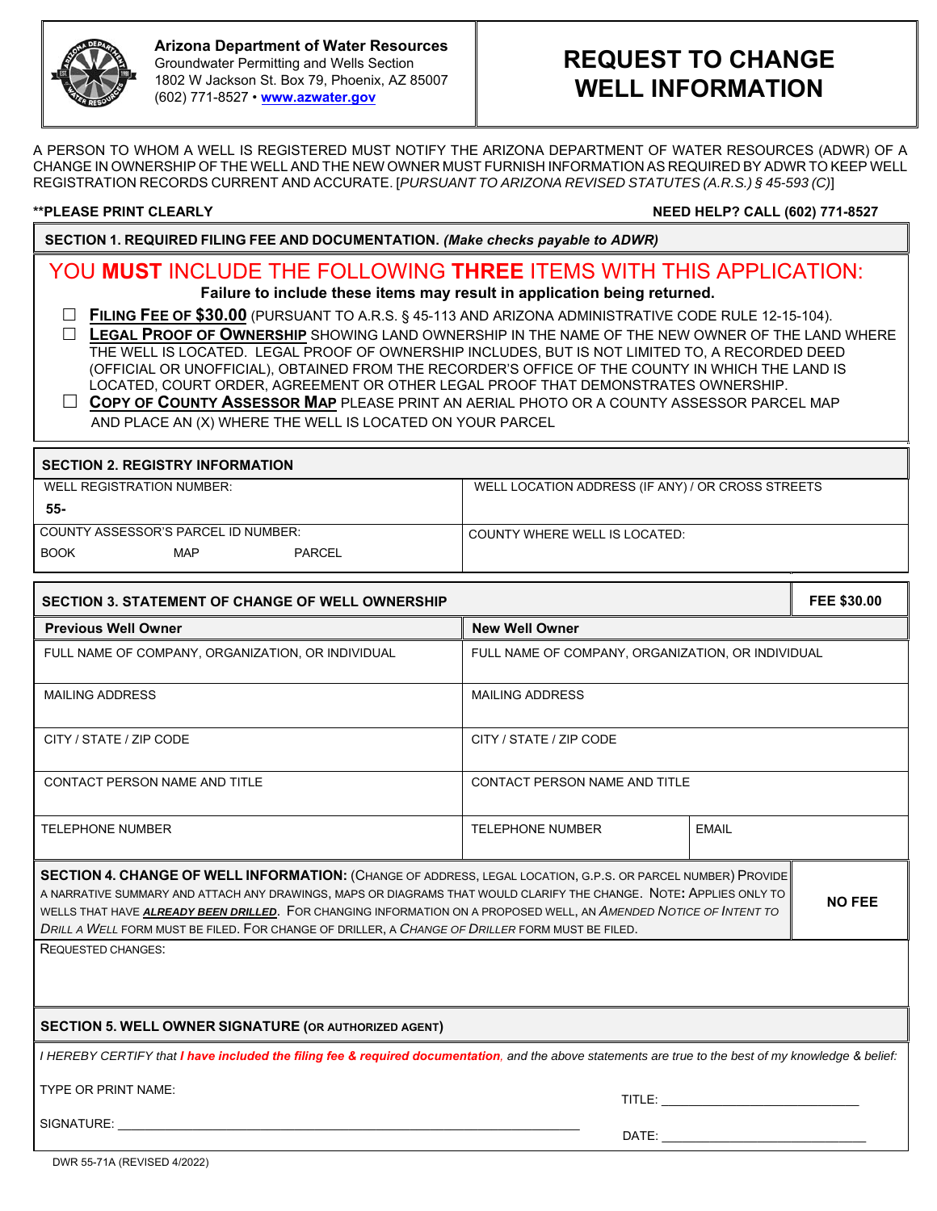

### **Arizona Department of Water Resources**  Groundwater Permitting and Wells Section 1802 W Jackson St. Box 79, Phoenix, AZ 85007 (602) 771-8527 • **www.azwater.gov**

# **REQUEST TO CHANGE WELL INFORMATION**

A PERSON TO WHOM A WELL IS REGISTERED MUST NOTIFY THE ARIZONA DEPARTMENT OF WATER RESOURCES (ADWR) OF A CHANGE IN OWNERSHIP OF THE WELL AND THE NEW OWNER MUST FURNISH INFORMATION AS REQUIRED BY ADWR TO KEEP WELL REGISTRATION RECORDS CURRENT AND ACCURATE. [*PURSUANT TO ARIZONA REVISED STATUTES (A.R.S.) § 45-593 (C)*]

**\*\*PLEASE PRINT CLEARLY NEED HELP? CALL (602) 771-8527**

**SECTION 1. REQUIRED FILING FEE AND DOCUMENTATION.** *(Make checks payable to ADWR)*

## YOU **MUST** INCLUDE THE FOLLOWING **THREE** ITEMS WITH THIS APPLICATION:

**Failure to include these items may result in application being returned.**

**FILING FEE OF \$30.00** (PURSUANT TO A.R.S. § 45-113 AND ARIZONA ADMINISTRATIVE CODE RULE 12-15-104).

 **LEGAL PROOF OF OWNERSHIP** SHOWING LAND OWNERSHIP IN THE NAME OF THE NEW OWNER OF THE LAND WHERE THE WELL IS LOCATED. LEGAL PROOF OF OWNERSHIP INCLUDES, BUT IS NOT LIMITED TO, A RECORDED DEED (OFFICIAL OR UNOFFICIAL), OBTAINED FROM THE RECORDER'S OFFICE OF THE COUNTY IN WHICH THE LAND IS LOCATED, COURT ORDER, AGREEMENT OR OTHER LEGAL PROOF THAT DEMONSTRATES OWNERSHIP.

 **COPY OF COUNTY ASSESSOR MAP** PLEASE PRINT AN AERIAL PHOTO OR A COUNTY ASSESSOR PARCEL MAP AND PLACE AN (X) WHERE THE WELL IS LOCATED ON YOUR PARCEL

| <b>SECTION 2. REGISTRY INFORMATION</b> |            |               |                                                   |  |  |  |
|----------------------------------------|------------|---------------|---------------------------------------------------|--|--|--|
| WELL REGISTRATION NUMBER:              |            |               | WELL LOCATION ADDRESS (IF ANY) / OR CROSS STREETS |  |  |  |
| 55-                                    |            |               |                                                   |  |  |  |
| COUNTY ASSESSOR'S PARCEL ID NUMBER:    |            |               | COUNTY WHERE WELL IS LOCATED:                     |  |  |  |
| <b>BOOK</b>                            | <b>MAP</b> | <b>PARCEL</b> |                                                   |  |  |  |

| <b>SECTION 3. STATEMENT OF CHANGE OF WELL OWNERSHIP</b>                                                                                                                                                                                 |                                                   |                                                                                                                                                                                                                                |  |  |
|-----------------------------------------------------------------------------------------------------------------------------------------------------------------------------------------------------------------------------------------|---------------------------------------------------|--------------------------------------------------------------------------------------------------------------------------------------------------------------------------------------------------------------------------------|--|--|
| <b>Previous Well Owner</b>                                                                                                                                                                                                              | <b>New Well Owner</b>                             |                                                                                                                                                                                                                                |  |  |
| FULL NAME OF COMPANY, ORGANIZATION, OR INDIVIDUAL                                                                                                                                                                                       | FULL NAME OF COMPANY, ORGANIZATION, OR INDIVIDUAL |                                                                                                                                                                                                                                |  |  |
| <b>MAILING ADDRESS</b>                                                                                                                                                                                                                  | <b>MAILING ADDRESS</b>                            |                                                                                                                                                                                                                                |  |  |
| CITY / STATE / ZIP CODE                                                                                                                                                                                                                 | CITY / STATE / ZIP CODE                           |                                                                                                                                                                                                                                |  |  |
| <b>CONTACT PERSON NAME AND TITLE</b>                                                                                                                                                                                                    | CONTACT PERSON NAME AND TITLE                     |                                                                                                                                                                                                                                |  |  |
| <b>TELEPHONE NUMBER</b>                                                                                                                                                                                                                 | <b>TELEPHONE NUMBER</b>                           | <b>EMAIL</b>                                                                                                                                                                                                                   |  |  |
| SECTION 4. CHANGE OF WELL INFORMATION: (CHANGE OF ADDRESS, LEGAL LOCATION, G.P.S. OR PARCEL NUMBER) PROVIDE                                                                                                                             |                                                   |                                                                                                                                                                                                                                |  |  |
| A NARRATIVE SUMMARY AND ATTACH ANY DRAWINGS, MAPS OR DIAGRAMS THAT WOULD CLARIFY THE CHANGE. NOTE: APPLIES ONLY TO<br>WELLS THAT HAVE ALREADY BEEN DRILLED. FOR CHANGING INFORMATION ON A PROPOSED WELL, AN AMENDED NOTICE OF INTENT TO |                                                   |                                                                                                                                                                                                                                |  |  |
| DRILL A WELL FORM MUST BE FILED. FOR CHANGE OF DRILLER, A CHANGE OF DRILLER FORM MUST BE FILED.                                                                                                                                         |                                                   |                                                                                                                                                                                                                                |  |  |
| <b>REQUESTED CHANGES:</b>                                                                                                                                                                                                               |                                                   |                                                                                                                                                                                                                                |  |  |
|                                                                                                                                                                                                                                         |                                                   |                                                                                                                                                                                                                                |  |  |
| <b>SECTION 5. WELL OWNER SIGNATURE (OR AUTHORIZED AGENT)</b>                                                                                                                                                                            |                                                   |                                                                                                                                                                                                                                |  |  |
| I HEREBY CERTIFY that I have included the filing fee & required documentation, and the above statements are true to the best of my knowledge & belief:                                                                                  |                                                   |                                                                                                                                                                                                                                |  |  |
| TYPE OR PRINT NAME:                                                                                                                                                                                                                     |                                                   | TITLE: Annual March 2014 (1995) and the contract of the contract of the contract of the contract of the contract of the contract of the contract of the contract of the contract of the contract of the contract of the contra |  |  |
| SIGNATURE: And the state of the state of the state of the state of the state of the state of the state of the state of the state of the state of the state of the state of the state of the state of the state of the state of          |                                                   |                                                                                                                                                                                                                                |  |  |